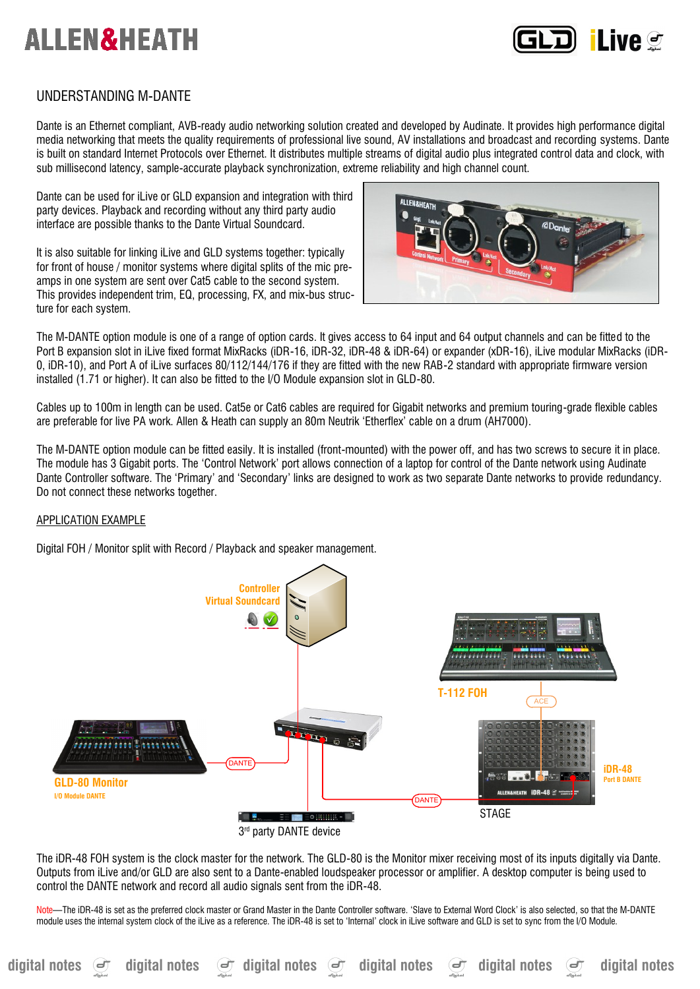

# UNDERSTANDING M-DANTE

Dante is an Ethernet compliant, AVB-ready audio networking solution created and developed by Audinate. It provides high performance digital media networking that meets the quality requirements of professional live sound, AV installations and broadcast and recording systems. Dante is built on standard Internet Protocols over Ethernet. It distributes multiple streams of digital audio plus integrated control data and clock, with sub millisecond latency, sample-accurate playback synchronization, extreme reliability and high channel count.

Dante can be used for iLive or GLD expansion and integration with third party devices. Playback and recording without any third party audio interface are possible thanks to the Dante Virtual Soundcard.

It is also suitable for linking iLive and GLD systems together: typically for front of house / monitor systems where digital splits of the mic preamps in one system are sent over Cat5 cable to the second system. This provides independent trim, EQ, processing, FX, and mix-bus structure for each system.



The M-DANTE option module is one of a range of option cards. It gives access to 64 input and 64 output channels and can be fitted to the Port B expansion slot in iLive fixed format MixRacks (iDR-16, iDR-32, iDR-48 & iDR-64) or expander (xDR-16), iLive modular MixRacks (iDR-0, iDR-10), and Port A of iLive surfaces 80/112/144/176 if they are fitted with the new RAB-2 standard with appropriate firmware version installed (1.71 or higher). It can also be fitted to the I/O Module expansion slot in GLD-80.

Cables up to 100m in length can be used. Cat5e or Cat6 cables are required for Gigabit networks and premium touring-grade flexible cables are preferable for live PA work. Allen & Heath can supply an 80m Neutrik 'Etherflex' cable on a drum (AH7000).

The M-DANTE option module can be fitted easily. It is installed (front-mounted) with the power off, and has two screws to secure it in place. The module has 3 Gigabit ports. The 'Control Network' port allows connection of a laptop for control of the Dante network using Audinate Dante Controller software. The 'Primary' and 'Secondary' links are designed to work as two separate Dante networks to provide redundancy. Do not connect these networks together.

# APPLICATION EXAMPLE

Digital FOH / Monitor split with Record / Playback and speaker management.



The iDR-48 FOH system is the clock master for the network. The GLD-80 is the Monitor mixer receiving most of its inputs digitally via Dante. Outputs from iLive and/or GLD are also sent to a Dante-enabled loudspeaker processor or amplifier. A desktop computer is being used to control the DANTE network and record all audio signals sent from the iDR-48.

Note—The iDR-48 is set as the preferred clock master or Grand Master in the Dante Controller software. 'Slave to External Word Clock' is also selected, so that the M-DANTE module uses the internal system clock of the iLive as a reference. The iDR-48 is set to 'Internal' clock in iLive software and GLD is set to sync from the I/O Module.

digital notes  $\Theta$  digital notes  $\Theta$  digital notes  $\Theta$  digital notes  $\Theta$  digital notes and digital notes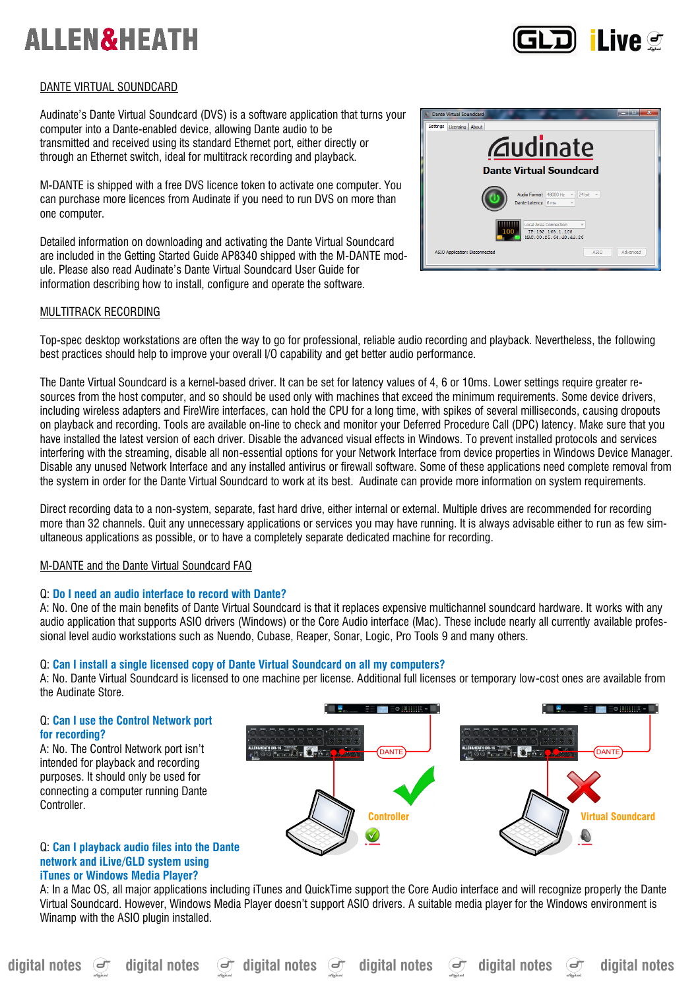

# DANTE VIRTUAL SOUNDCARD

Audinate's Dante Virtual Soundcard (DVS) is a software application that turns your computer into a Dante-enabled device, allowing Dante audio to be transmitted and received using its standard Ethernet port, either directly or through an Ethernet switch, ideal for multitrack recording and playback.

M-DANTE is shipped with a free DVS licence token to activate one computer. You can purchase more licences from Audinate if you need to run DVS on more than one computer.

Detailed information on downloading and activating the Dante Virtual Soundcard are included in the Getting Started Guide AP8340 shipped with the M-DANTE module. Please also read Audinate's Dante Virtual Soundcard User Guide for information describing how to install, configure and operate the software.



# MULTITRACK RECORDING

Top-spec desktop workstations are often the way to go for professional, reliable audio recording and playback. Nevertheless, the following best practices should help to improve your overall I/O capability and get better audio performance.

The Dante Virtual Soundcard is a kernel-based driver. It can be set for latency values of 4, 6 or 10ms. Lower settings require greater resources from the host computer, and so should be used only with machines that exceed the minimum requirements. Some device drivers, including wireless adapters and FireWire interfaces, can hold the CPU for a long time, with spikes of several milliseconds, causing dropouts on playback and recording. Tools are available on-line to check and monitor your Deferred Procedure Call (DPC) latency. Make sure that you have installed the latest version of each driver. Disable the advanced visual effects in Windows. To prevent installed protocols and services interfering with the streaming, disable all non-essential options for your Network Interface from device properties in Windows Device Manager. Disable any unused Network Interface and any installed antivirus or firewall software. Some of these applications need complete removal from the system in order for the Dante Virtual Soundcard to work at its best. Audinate can provide more information on system requirements.

Direct recording data to a non-system, separate, fast hard drive, either internal or external. Multiple drives are recommended for recording more than 32 channels. Quit any unnecessary applications or services you may have running. It is always advisable either to run as few simultaneous applications as possible, or to have a completely separate dedicated machine for recording.

# M-DANTE and the Dante Virtual Soundcard FAQ

# Q: **Do I need an audio interface to record with Dante?**

A: No. One of the main benefits of Dante Virtual Soundcard is that it replaces expensive multichannel soundcard hardware. It works with any audio application that supports ASIO drivers (Windows) or the Core Audio interface (Mac). These include nearly all currently available professional level audio workstations such as Nuendo, Cubase, Reaper, Sonar, Logic, Pro Tools 9 and many others.

# Q: **Can I install a single licensed copy of Dante Virtual Soundcard on all my computers?**

A: No. Dante Virtual Soundcard is licensed to one machine per license. Additional full licenses or temporary low-cost ones are available from the Audinate Store.

# Q: **Can I use the Control Network port for recording?**

A: No. The Control Network port isn't intended for playback and recording purposes. It should only be used for connecting a computer running Dante **Controller** 



### Q: **Can I playback audio files into the Dante network and iLive/GLD system using iTunes or Windows Media Player?**

A: In a Mac OS, all major applications including iTunes and QuickTime support the Core Audio interface and will recognize properly the Dante Virtual Soundcard. However, Windows Media Player doesn't support ASIO drivers. A suitable media player for the Windows environment is Winamp with the ASIO plugin installed.

digital notes **digital notes digital notes digital notes** digital notes and digital notes **digital notes**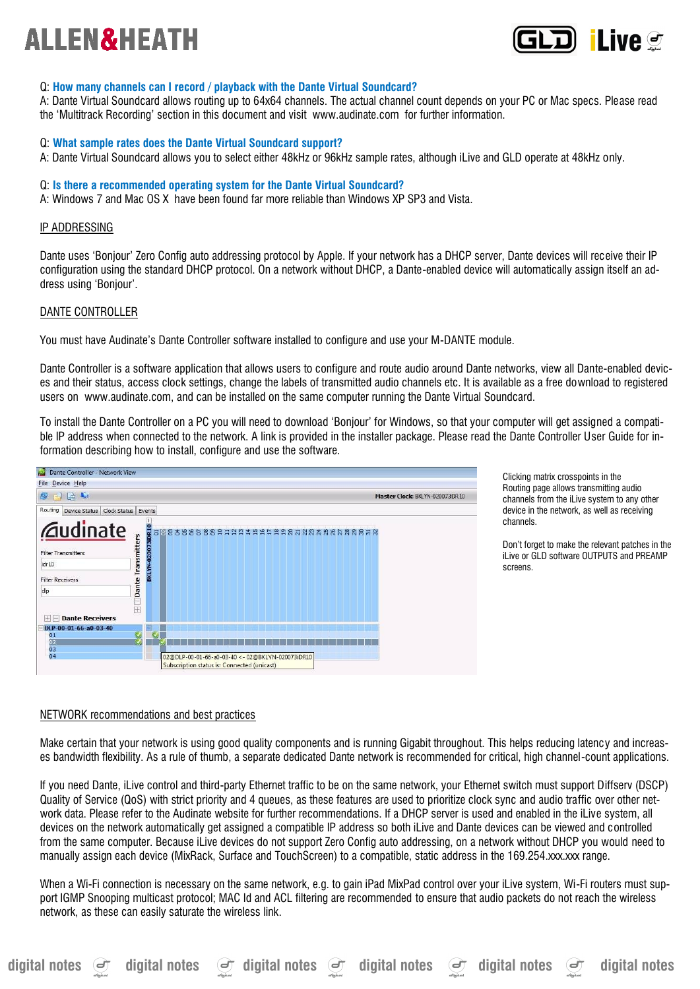

# Q: **How many channels can I record / playback with the Dante Virtual Soundcard?**

A: Dante Virtual Soundcard allows routing up to 64x64 channels. The actual channel count depends on your PC or Mac specs. Please read the 'Multitrack Recording' section in this document and visit www.audinate.com for further information.

### Q: **What sample rates does the Dante Virtual Soundcard support?**

A: Dante Virtual Soundcard allows you to select either 48kHz or 96kHz sample rates, although iLive and GLD operate at 48kHz only.

#### Q: **Is there a recommended operating system for the Dante Virtual Soundcard?**

A: Windows 7 and Mac OS X have been found far more reliable than Windows XP SP3 and Vista.

#### IP ADDRESSING

Dante uses 'Bonjour' Zero Config auto addressing protocol by Apple. If your network has a DHCP server, Dante devices will receive their IP configuration using the standard DHCP protocol. On a network without DHCP, a Dante-enabled device will automatically assign itself an address using 'Bonjour'.

#### DANTE CONTROLLER

You must have Audinate's Dante Controller software installed to configure and use your M-DANTE module.

Dante Controller is a software application that allows users to configure and route audio around Dante networks, view all Dante-enabled devices and their status, access clock settings, change the labels of transmitted audio channels etc. It is available as a free download to registered users on www.audinate.com, and can be installed on the same computer running the Dante Virtual Soundcard.

To install the Dante Controller on a PC you will need to download 'Bonjour' for Windows, so that your computer will get assigned a compatible IP address when connected to the network. A link is provided in the installer package. Please read the Dante Controller User Guide for information describing how to install, configure and use the software.



Clicking matrix crosspoints in the Routing page allows transmitting audio channels from the iLive system to any other device in the network, as well as receiving channels.

Don't forget to make the relevant patches in the iLive or GLD software OUTPUTS and PREAMP screens.

#### NETWORK recommendations and best practices

Make certain that your network is using good quality components and is running Gigabit throughout. This helps reducing latency and increases bandwidth flexibility. As a rule of thumb, a separate dedicated Dante network is recommended for critical, high channel-count applications.

If you need Dante, iLive control and third-party Ethernet traffic to be on the same network, your Ethernet switch must support Diffserv (DSCP) Quality of Service (QoS) with strict priority and 4 queues, as these features are used to prioritize clock sync and audio traffic over other network data. Please refer to the Audinate website for further recommendations. If a DHCP server is used and enabled in the iLive system, all devices on the network automatically get assigned a compatible IP address so both iLive and Dante devices can be viewed and controlled from the same computer. Because iLive devices do not support Zero Config auto addressing, on a network without DHCP you would need to manually assign each device (MixRack, Surface and TouchScreen) to a compatible, static address in the 169.254.xxx.xxx range.

When a Wi-Fi connection is necessary on the same network, e.g. to gain iPad MixPad control over your iLive system, Wi-Fi routers must support IGMP Snooping multicast protocol; MAC Id and ACL filtering are recommended to ensure that audio packets do not reach the wireless network, as these can easily saturate the wireless link.